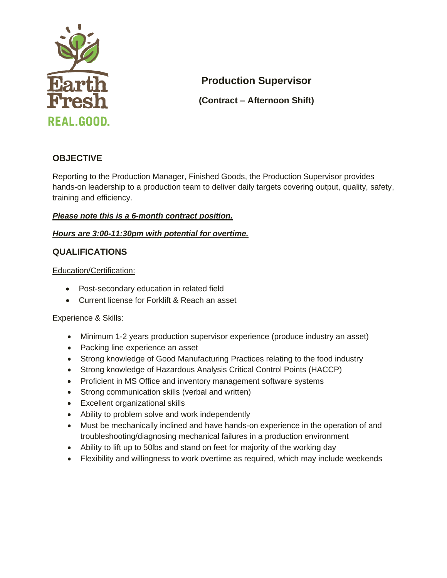

# **Production Supervisor**

**(Contract – Afternoon Shift)**

# **OBJECTIVE**

Reporting to the Production Manager, Finished Goods, the Production Supervisor provides hands-on leadership to a production team to deliver daily targets covering output, quality, safety, training and efficiency.

## *Please note this is a 6-month contract position.*

#### *Hours are 3:00-11:30pm with potential for overtime.*

## **QUALIFICATIONS**

Education/Certification:

- Post-secondary education in related field
- Current license for Forklift & Reach an asset

#### Experience & Skills:

- Minimum 1-2 years production supervisor experience (produce industry an asset)
- Packing line experience an asset
- Strong knowledge of Good Manufacturing Practices relating to the food industry
- Strong knowledge of Hazardous Analysis Critical Control Points (HACCP)
- Proficient in MS Office and inventory management software systems
- Strong communication skills (verbal and written)
- Excellent organizational skills
- Ability to problem solve and work independently
- Must be mechanically inclined and have hands-on experience in the operation of and troubleshooting/diagnosing mechanical failures in a production environment
- Ability to lift up to 50lbs and stand on feet for majority of the working day
- Flexibility and willingness to work overtime as required, which may include weekends